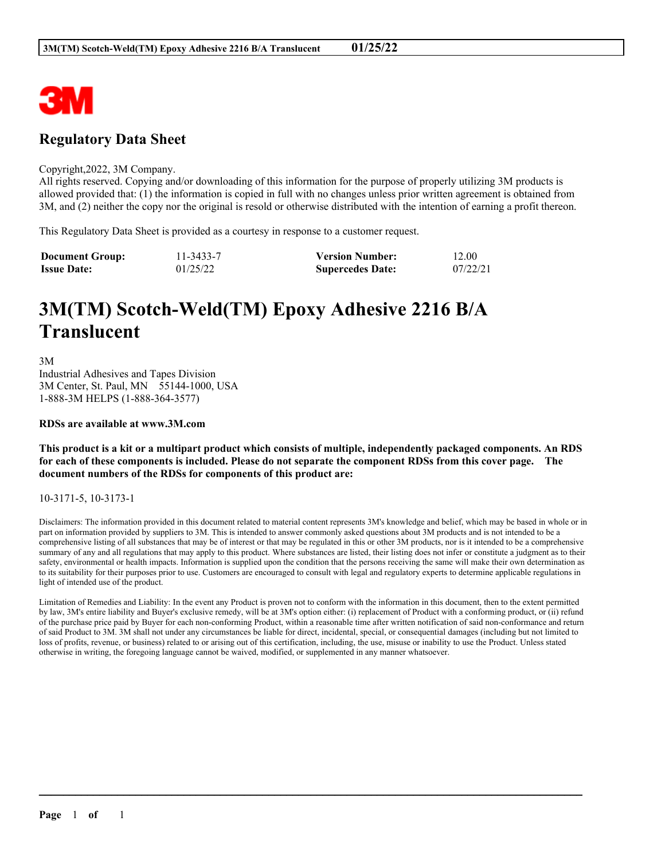

## **Regulatory Data Sheet**

#### Copyright,2022, 3M Company.

All rights reserved. Copying and/or downloading of this information for the purpose of properly utilizing 3M products is allowed provided that: (1) the information is copied in full with no changes unless prior written agreement is obtained from 3M, and (2) neither the copy nor the original is resold or otherwise distributed with the intention of earning a profit thereon.

This Regulatory Data Sheet is provided as a courtesy in response to a customer request.

| <b>Document Group:</b> | 11-3433-7 | <b>Version Number:</b>  | 12.00    |
|------------------------|-----------|-------------------------|----------|
| <b>Issue Date:</b>     | 01/25/22  | <b>Supercedes Date:</b> | 07/22/21 |

# **3M(TM) Scotch-Weld(TM) Epoxy Adhesive 2216 B/A Translucent**

3M Industrial Adhesives and Tapes Division 3M Center, St. Paul, MN 55144-1000, USA 1-888-3M HELPS (1-888-364-3577)

#### **RDSs are available at www.3M.com**

This product is a kit or a multipart product which consists of multiple, independently packaged components. An RDS for each of these components is included. Please do not separate the component RDSs from this cover page. The **document numbers of the RDSs for components of this product are:**

## 10-3171-5, 10-3173-1

Disclaimers: The information provided in this document related to material content represents 3M's knowledge and belief, which may be based in whole or in part on information provided by suppliers to 3M. This is intended to answer commonly asked questions about 3M products and is not intended to be a comprehensive listing of all substances that may be of interest or that may be regulated in this or other 3M products, nor is it intended to be a comprehensive summary of any and all regulations that may apply to this product. Where substances are listed, their listing does not infer or constitute a judgment as to their safety, environmental or health impacts. Information is supplied upon the condition that the persons receiving the same will make their own determination as to its suitability for their purposes prior to use. Customers are encouraged to consult with legal and regulatory experts to determine applicable regulations in light of intended use of the product.

Limitation of Remedies and Liability: In the event any Product is proven not to conform with the information in this document, then to the extent permitted by law, 3M's entire liability and Buyer's exclusive remedy, will be at 3M's option either: (i) replacement of Product with a conforming product, or (ii) refund of the purchase price paid by Buyer for each non-conforming Product, within a reasonable time after written notification of said non-conformance and return of said Product to 3M. 3M shall not under any circumstances be liable for direct, incidental, special, or consequential damages (including but not limited to loss of profits, revenue, or business) related to or arising out of this certification, including, the use, misuse or inability to use the Product. Unless stated otherwise in writing, the foregoing language cannot be waived, modified, or supplemented in any manner whatsoever.

 $\mathcal{L}_\mathcal{L} = \mathcal{L}_\mathcal{L} = \mathcal{L}_\mathcal{L} = \mathcal{L}_\mathcal{L} = \mathcal{L}_\mathcal{L} = \mathcal{L}_\mathcal{L} = \mathcal{L}_\mathcal{L} = \mathcal{L}_\mathcal{L} = \mathcal{L}_\mathcal{L} = \mathcal{L}_\mathcal{L} = \mathcal{L}_\mathcal{L} = \mathcal{L}_\mathcal{L} = \mathcal{L}_\mathcal{L} = \mathcal{L}_\mathcal{L} = \mathcal{L}_\mathcal{L} = \mathcal{L}_\mathcal{L} = \mathcal{L}_\mathcal{L}$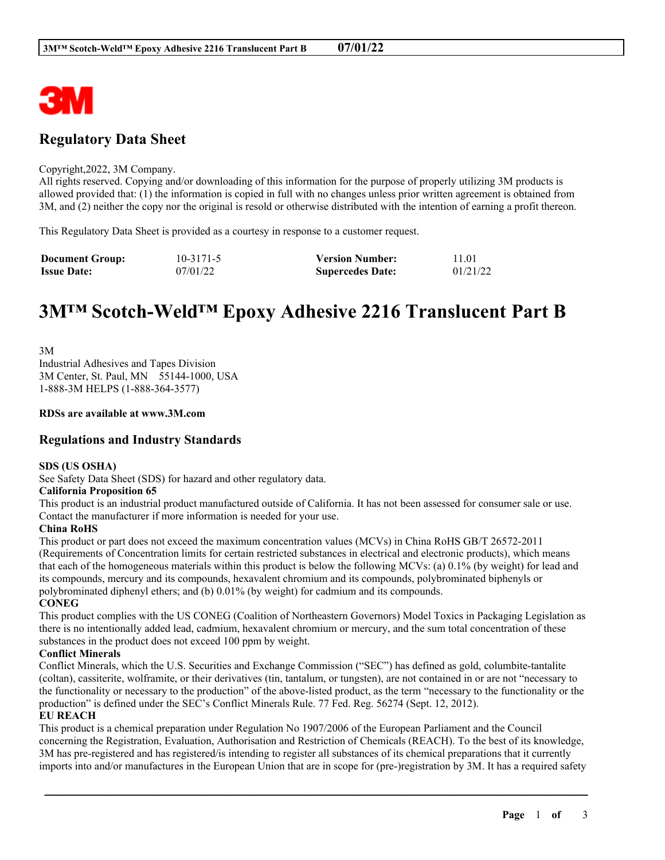

## **Regulatory Data Sheet**

## Copyright,2022, 3M Company.

All rights reserved. Copying and/or downloading of this information for the purpose of properly utilizing 3M products is allowed provided that: (1) the information is copied in full with no changes unless prior written agreement is obtained from 3M, and (2) neither the copy nor the original is resold or otherwise distributed with the intention of earning a profit thereon.

This Regulatory Data Sheet is provided as a courtesy in response to a customer request.

| <b>Document Group:</b> | $10 - 3171 - 5$ | <b>Version Number:</b>  | 11.01    |
|------------------------|-----------------|-------------------------|----------|
| <b>Issue Date:</b>     | 07/01/22        | <b>Supercedes Date:</b> | 01/21/22 |

# **3M™ Scotch-Weld™ Epoxy Adhesive 2216 Translucent Part B**

3M Industrial Adhesives and Tapes Division 3M Center, St. Paul, MN 55144-1000, USA 1-888-3M HELPS (1-888-364-3577)

## **RDSs are available at www.3M.com**

## **Regulations and Industry Standards**

## **SDS (US OSHA)**

See Safety Data Sheet (SDS) for hazard and other regulatory data.

## **California Proposition 65**

This product is an industrial product manufactured outside of California. It has not been assessed for consumer sale or use. Contact the manufacturer if more information is needed for your use.

## **China RoHS**

This product or part does not exceed the maximum concentration values (MCVs) in China RoHS GB/T 26572-2011 (Requirements of Concentration limits for certain restricted substances in electrical and electronic products), which means that each of the homogeneous materials within this product is below the following MCVs: (a) 0.1% (by weight) for lead and its compounds, mercury and its compounds, hexavalent chromium and its compounds, polybrominated biphenyls or polybrominated diphenyl ethers; and (b) 0.01% (by weight) for cadmium and its compounds.

**CONEG**

This product complies with the US CONEG (Coalition of Northeastern Governors) Model Toxics in Packaging Legislation as there is no intentionally added lead, cadmium, hexavalent chromium or mercury, and the sum total concentration of these substances in the product does not exceed 100 ppm by weight.

## **Conflict Minerals**

Conflict Minerals, which the U.S. Securities and Exchange Commission ("SEC") has defined as gold, columbite-tantalite (coltan), cassiterite, wolframite, or their derivatives (tin, tantalum, or tungsten), are not contained in or are not "necessary to the functionality or necessary to the production" of the above-listed product, as the term "necessary to the functionality or the production" is defined under the SEC's Conflict Minerals Rule. 77 Fed. Reg. 56274 (Sept. 12, 2012).

## **EU REACH**

This product is a chemical preparation under Regulation No 1907/2006 of the European Parliament and the Council concerning the Registration, Evaluation, Authorisation and Restriction of Chemicals (REACH). To the best of its knowledge, 3M has pre-registered and has registered/is intending to register all substances of its chemical preparations that it currently imports into and/or manufactures in the European Union that are in scope for (pre-)registration by 3M. It has a required safety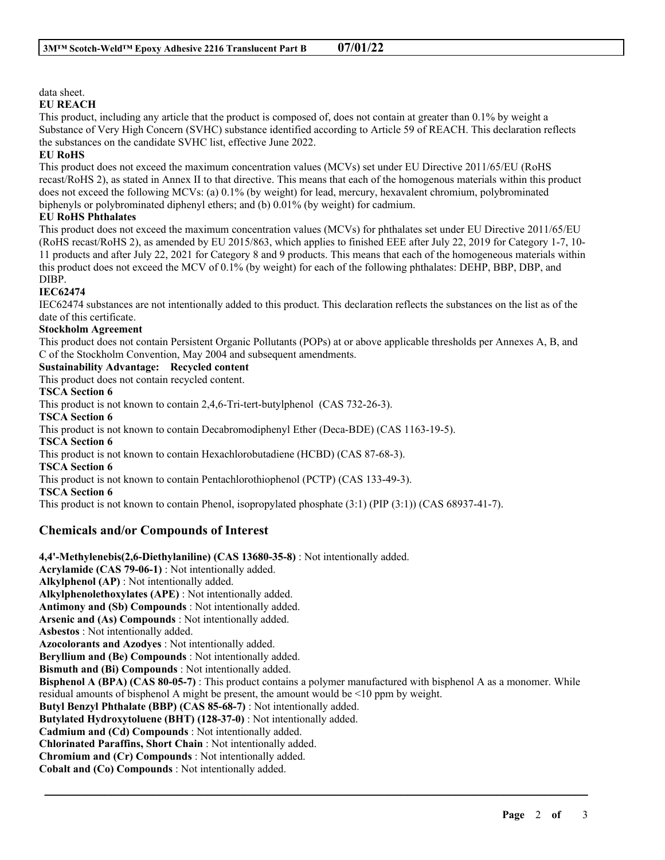## data sheet.

## **EU REACH**

This product, including any article that the product is composed of, does not contain at greater than 0.1% by weight a Substance of Very High Concern (SVHC) substance identified according to Article 59 of REACH. This declaration reflects the substances on the candidate SVHC list, effective June 2022.

## **EU RoHS**

This product does not exceed the maximum concentration values (MCVs) set under EU Directive 2011/65/EU (RoHS recast/RoHS 2), as stated in Annex II to that directive. This means that each of the homogenous materials within this product does not exceed the following MCVs: (a) 0.1% (by weight) for lead, mercury, hexavalent chromium, polybrominated biphenyls or polybrominated diphenyl ethers; and (b) 0.01% (by weight) for cadmium.

## **EU RoHS Phthalates**

This product does not exceed the maximum concentration values (MCVs) for phthalates set under EU Directive 2011/65/EU (RoHS recast/RoHS 2), as amended by EU 2015/863, which applies to finished EEE after July 22, 2019 for Category 1-7, 10- 11 products and after July 22, 2021 for Category 8 and 9 products. This means that each of the homogeneous materials within this product does not exceed the MCV of 0.1% (by weight) for each of the following phthalates: DEHP, BBP, DBP, and DIBP.

## **IEC62474**

IEC62474 substances are not intentionally added to this product. This declaration reflects the substances on the list as of the date of this certificate.

## **Stockholm Agreement**

This product does not contain Persistent Organic Pollutants (POPs) at or above applicable thresholds per Annexes A, B, and C of the Stockholm Convention, May 2004 and subsequent amendments.

## **Sustainability Advantage: Recycled content**

This product does not contain recycled content.

**TSCA Section 6**

This product is not known to contain 2,4,6-Tri-tert-butylphenol (CAS 732-26-3).

**TSCA Section 6**

This product is not known to contain Decabromodiphenyl Ether (Deca-BDE) (CAS 1163-19-5).

## **TSCA Section 6**

This product is not known to contain Hexachlorobutadiene (HCBD) (CAS 87-68-3).

## **TSCA Section 6**

This product is not known to contain Pentachlorothiophenol (PCTP) (CAS 133-49-3).

**TSCA Section 6**

This product is not known to contain Phenol, isopropylated phosphate (3:1) (PIP (3:1)) (CAS 68937-41-7).

## **Chemicals and/or Compounds of Interest**

**4,4'-Methylenebis(2,6-Diethylaniline) (CAS 13680-35-8)** : Not intentionally added. **Acrylamide (CAS 79-06-1)** : Not intentionally added. **Alkylphenol (AP)** : Not intentionally added. **Alkylphenolethoxylates (APE)** : Not intentionally added. **Antimony and (Sb) Compounds** : Not intentionally added. **Arsenic and (As) Compounds** : Not intentionally added. **Asbestos** : Not intentionally added. **Azocolorants and Azodyes** : Not intentionally added. **Beryllium and (Be) Compounds** : Not intentionally added. **Bismuth and (Bi) Compounds** : Not intentionally added. **Bisphenol A (BPA) (CAS 80-05-7)** : This product contains a polymer manufactured with bisphenol A as a monomer. While residual amounts of bisphenol A might be present, the amount would be <10 ppm by weight. **Butyl Benzyl Phthalate (BBP) (CAS 85-68-7)** : Not intentionally added. **Butylated Hydroxytoluene (BHT) (128-37-0)** : Not intentionally added. **Cadmium and (Cd) Compounds** : Not intentionally added. **Chlorinated Paraffins, Short Chain** : Not intentionally added. **Chromium and (Cr) Compounds** : Not intentionally added. **Cobalt and (Co) Compounds** : Not intentionally added.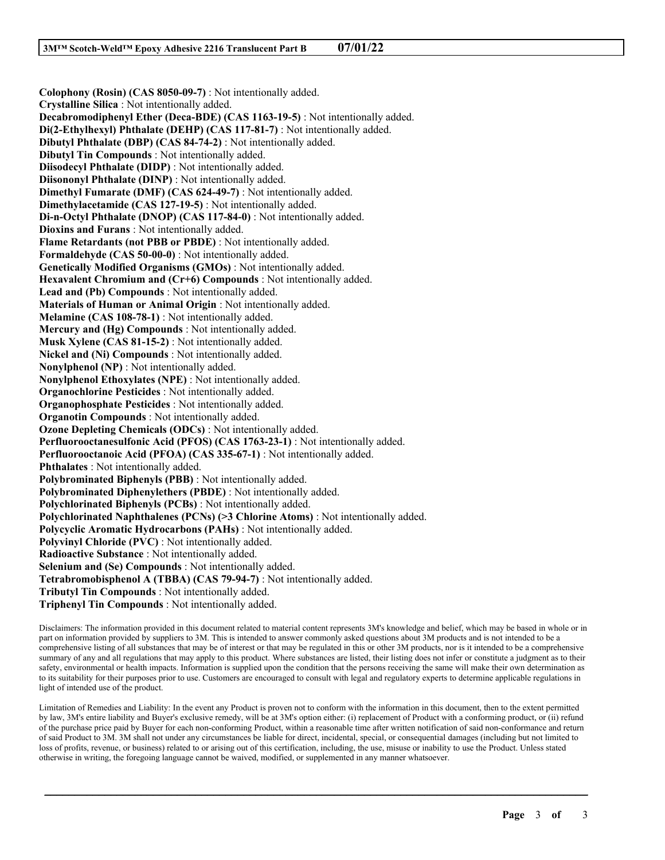**Colophony (Rosin) (CAS 8050-09-7)** : Not intentionally added. **Crystalline Silica** : Not intentionally added. **Decabromodiphenyl Ether (Deca-BDE) (CAS 1163-19-5)** : Not intentionally added. **Di(2-Ethylhexyl) Phthalate (DEHP) (CAS 117-81-7)** : Not intentionally added. **Dibutyl Phthalate (DBP) (CAS 84-74-2)** : Not intentionally added. **Dibutyl Tin Compounds** : Not intentionally added. **Diisodecyl Phthalate (DIDP)** : Not intentionally added. **Diisononyl Phthalate (DINP)** : Not intentionally added. **Dimethyl Fumarate (DMF) (CAS 624-49-7)** : Not intentionally added. **Dimethylacetamide (CAS 127-19-5)** : Not intentionally added. **Di-n-Octyl Phthalate (DNOP) (CAS 117-84-0)** : Not intentionally added. **Dioxins and Furans** : Not intentionally added. **Flame Retardants (not PBB or PBDE)** : Not intentionally added. **Formaldehyde (CAS 50-00-0)** : Not intentionally added. **Genetically Modified Organisms (GMOs)** : Not intentionally added. **Hexavalent Chromium and (Cr+6) Compounds** : Not intentionally added. **Lead and (Pb) Compounds** : Not intentionally added. **Materials of Human or Animal Origin** : Not intentionally added. **Melamine (CAS 108-78-1)** : Not intentionally added. **Mercury and (Hg) Compounds** : Not intentionally added. **Musk Xylene (CAS 81-15-2)** : Not intentionally added. **Nickel and (Ni) Compounds** : Not intentionally added. **Nonylphenol (NP)** : Not intentionally added. **Nonylphenol Ethoxylates (NPE)** : Not intentionally added. **Organochlorine Pesticides** : Not intentionally added. **Organophosphate Pesticides** : Not intentionally added. **Organotin Compounds** : Not intentionally added. **Ozone Depleting Chemicals (ODCs)** : Not intentionally added. **Perfluorooctanesulfonic Acid (PFOS) (CAS 1763-23-1)** : Not intentionally added. **Perfluorooctanoic Acid (PFOA) (CAS 335-67-1)** : Not intentionally added. **Phthalates** : Not intentionally added. **Polybrominated Biphenyls (PBB)** : Not intentionally added. **Polybrominated Diphenylethers (PBDE)** : Not intentionally added. **Polychlorinated Biphenyls (PCBs)** : Not intentionally added. **Polychlorinated Naphthalenes (PCNs) (>3 Chlorine Atoms)** : Not intentionally added. **Polycyclic Aromatic Hydrocarbons (PAHs)** : Not intentionally added. **Polyvinyl Chloride (PVC)** : Not intentionally added. **Radioactive Substance** : Not intentionally added. **Selenium and (Se) Compounds** : Not intentionally added. **Tetrabromobisphenol A (TBBA) (CAS 79-94-7)** : Not intentionally added. **Tributyl Tin Compounds** : Not intentionally added. **Triphenyl Tin Compounds** : Not intentionally added.

Disclaimers: The information provided in this document related to material content represents 3M's knowledge and belief, which may be based in whole or in part on information provided by suppliers to 3M. This is intended to answer commonly asked questions about 3M products and is not intended to be a comprehensive listing of all substances that may be of interest or that may be regulated in this or other 3M products, nor is it intended to be a comprehensive summary of any and all regulations that may apply to this product. Where substances are listed, their listing does not infer or constitute a judgment as to their safety, environmental or health impacts. Information is supplied upon the condition that the persons receiving the same will make their own determination as to its suitability for their purposes prior to use. Customers are encouraged to consult with legal and regulatory experts to determine applicable regulations in light of intended use of the product.

Limitation of Remedies and Liability: In the event any Product is proven not to conform with the information in this document, then to the extent permitted by law, 3M's entire liability and Buyer's exclusive remedy, will be at 3M's option either: (i) replacement of Product with a conforming product, or (ii) refund of the purchase price paid by Buyer for each non-conforming Product, within a reasonable time after written notification of said non-conformance and return of said Product to 3M. 3M shall not under any circumstances be liable for direct, incidental, special, or consequential damages (including but not limited to loss of profits, revenue, or business) related to or arising out of this certification, including, the use, misuse or inability to use the Product. Unless stated otherwise in writing, the foregoing language cannot be waived, modified, or supplemented in any manner whatsoever.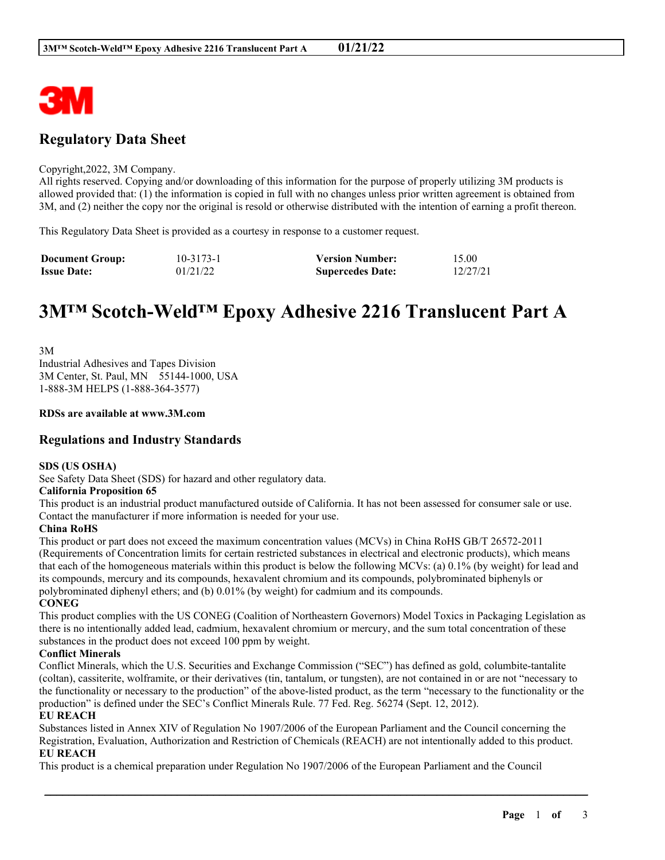

## **Regulatory Data Sheet**

#### Copyright,2022, 3M Company.

All rights reserved. Copying and/or downloading of this information for the purpose of properly utilizing 3M products is allowed provided that: (1) the information is copied in full with no changes unless prior written agreement is obtained from 3M, and (2) neither the copy nor the original is resold or otherwise distributed with the intention of earning a profit thereon.

This Regulatory Data Sheet is provided as a courtesy in response to a customer request.

| <b>Document Group:</b> | $10 - 3173 - 1$ | <b>Version Number:</b>  | 15.00    |
|------------------------|-----------------|-------------------------|----------|
| <b>Issue Date:</b>     | 01/21/22        | <b>Supercedes Date:</b> | 12/27/21 |

# **3M™ Scotch-Weld™ Epoxy Adhesive 2216 Translucent Part A**

3M Industrial Adhesives and Tapes Division 3M Center, St. Paul, MN 55144-1000, USA 1-888-3M HELPS (1-888-364-3577)

## **RDSs are available at www.3M.com**

## **Regulations and Industry Standards**

## **SDS (US OSHA)**

See Safety Data Sheet (SDS) for hazard and other regulatory data.

## **California Proposition 65**

This product is an industrial product manufactured outside of California. It has not been assessed for consumer sale or use. Contact the manufacturer if more information is needed for your use.

## **China RoHS**

This product or part does not exceed the maximum concentration values (MCVs) in China RoHS GB/T 26572-2011 (Requirements of Concentration limits for certain restricted substances in electrical and electronic products), which means that each of the homogeneous materials within this product is below the following MCVs: (a) 0.1% (by weight) for lead and its compounds, mercury and its compounds, hexavalent chromium and its compounds, polybrominated biphenyls or polybrominated diphenyl ethers; and (b) 0.01% (by weight) for cadmium and its compounds.

**CONEG**

This product complies with the US CONEG (Coalition of Northeastern Governors) Model Toxics in Packaging Legislation as there is no intentionally added lead, cadmium, hexavalent chromium or mercury, and the sum total concentration of these substances in the product does not exceed 100 ppm by weight.

## **Conflict Minerals**

Conflict Minerals, which the U.S. Securities and Exchange Commission ("SEC") has defined as gold, columbite-tantalite (coltan), cassiterite, wolframite, or their derivatives (tin, tantalum, or tungsten), are not contained in or are not "necessary to the functionality or necessary to the production" of the above-listed product, as the term "necessary to the functionality or the production" is defined under the SEC's Conflict Minerals Rule. 77 Fed. Reg. 56274 (Sept. 12, 2012).

## **EU REACH**

Substances listed in Annex XIV of Regulation No 1907/2006 of the European Parliament and the Council concerning the Registration, Evaluation, Authorization and Restriction of Chemicals (REACH) are not intentionally added to this product. **EU REACH**

\_\_\_\_\_\_\_\_\_\_\_\_\_\_\_\_\_\_\_\_\_\_\_\_\_\_\_\_\_\_\_\_\_\_\_\_\_\_\_\_\_\_\_\_\_\_\_\_\_\_\_\_\_\_\_\_\_\_\_\_\_\_\_\_\_\_\_\_\_\_\_\_\_\_\_\_\_\_\_\_\_\_\_\_\_\_\_\_\_\_

This product is a chemical preparation under Regulation No 1907/2006 of the European Parliament and the Council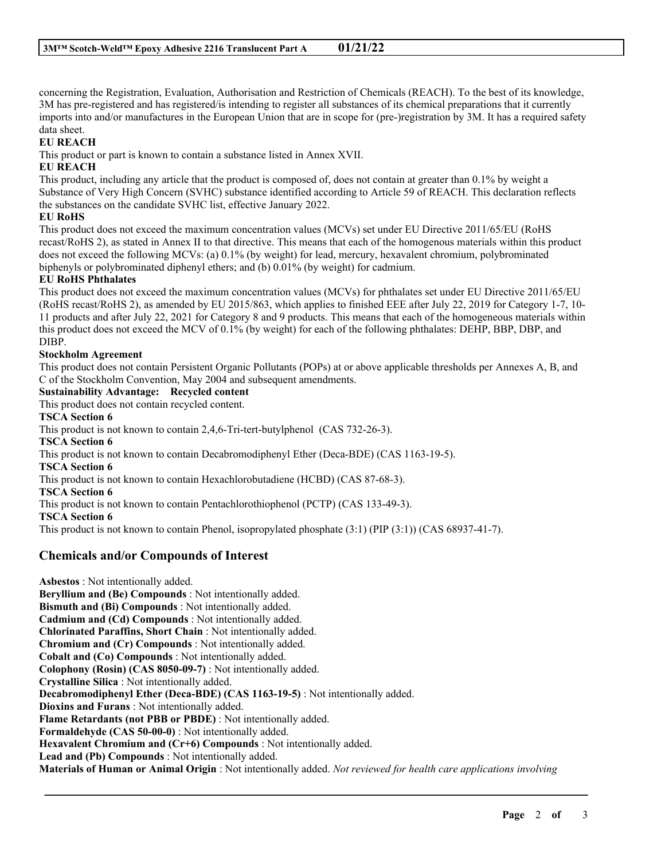concerning the Registration, Evaluation, Authorisation and Restriction of Chemicals (REACH). To the best of its knowledge, 3M has pre-registered and has registered/is intending to register all substances of its chemical preparations that it currently imports into and/or manufactures in the European Union that are in scope for (pre-)registration by 3M. It has a required safety data sheet.

## **EU REACH**

This product or part is known to contain a substance listed in Annex XVII.

## **EU REACH**

This product, including any article that the product is composed of, does not contain at greater than 0.1% by weight a Substance of Very High Concern (SVHC) substance identified according to Article 59 of REACH. This declaration reflects the substances on the candidate SVHC list, effective January 2022.

## **EU RoHS**

This product does not exceed the maximum concentration values (MCVs) set under EU Directive 2011/65/EU (RoHS recast/RoHS 2), as stated in Annex II to that directive. This means that each of the homogenous materials within this product does not exceed the following MCVs: (a) 0.1% (by weight) for lead, mercury, hexavalent chromium, polybrominated biphenyls or polybrominated diphenyl ethers; and (b) 0.01% (by weight) for cadmium.

## **EU RoHS Phthalates**

This product does not exceed the maximum concentration values (MCVs) for phthalates set under EU Directive 2011/65/EU (RoHS recast/RoHS 2), as amended by EU 2015/863, which applies to finished EEE after July 22, 2019 for Category 1-7, 10- 11 products and after July 22, 2021 for Category 8 and 9 products. This means that each of the homogeneous materials within this product does not exceed the MCV of 0.1% (by weight) for each of the following phthalates: DEHP, BBP, DBP, and DIBP.

## **Stockholm Agreement**

This product does not contain Persistent Organic Pollutants (POPs) at or above applicable thresholds per Annexes A, B, and C of the Stockholm Convention, May 2004 and subsequent amendments.

**Sustainability Advantage: Recycled content**

This product does not contain recycled content.

**TSCA Section 6** This product is not known to contain 2,4,6-Tri-tert-butylphenol (CAS 732-26-3). **TSCA Section 6** This product is not known to contain Decabromodiphenyl Ether (Deca-BDE) (CAS 1163-19-5). **TSCA Section 6** This product is not known to contain Hexachlorobutadiene (HCBD) (CAS 87-68-3).

**TSCA Section 6**

This product is not known to contain Pentachlorothiophenol (PCTP) (CAS 133-49-3).

**TSCA Section 6**

This product is not known to contain Phenol, isopropylated phosphate (3:1) (PIP (3:1)) (CAS 68937-41-7).

## **Chemicals and/or Compounds of Interest**

**Asbestos** : Not intentionally added. **Beryllium and (Be) Compounds** : Not intentionally added. **Bismuth and (Bi) Compounds** : Not intentionally added. **Cadmium and (Cd) Compounds** : Not intentionally added. **Chlorinated Paraffins, Short Chain** : Not intentionally added. **Chromium and (Cr) Compounds** : Not intentionally added. **Cobalt and (Co) Compounds** : Not intentionally added. **Colophony (Rosin) (CAS 8050-09-7)** : Not intentionally added. **Crystalline Silica** : Not intentionally added. **Decabromodiphenyl Ether (Deca-BDE) (CAS 1163-19-5)** : Not intentionally added. **Dioxins and Furans** : Not intentionally added. **Flame Retardants (not PBB or PBDE)** : Not intentionally added. **Formaldehyde (CAS 50-00-0)** : Not intentionally added. **Hexavalent Chromium and (Cr+6) Compounds** : Not intentionally added. **Lead and (Pb) Compounds** : Not intentionally added. **Materials of Human or Animal Origin** : Not intentionally added. *Not reviewed for health care applications involving*